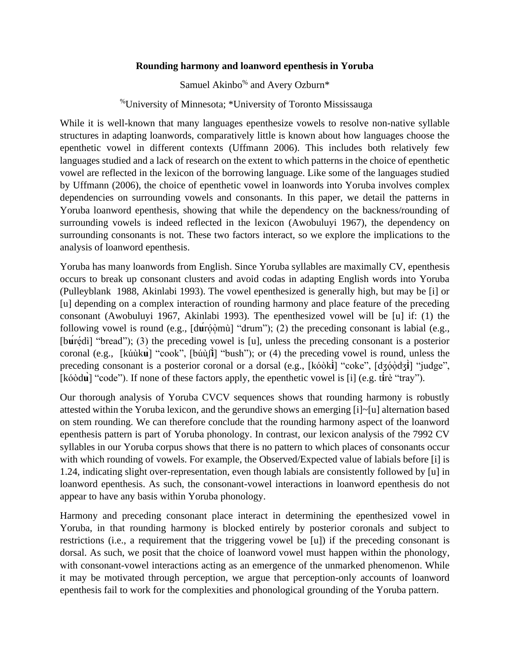## **Rounding harmony and loanword epenthesis in Yoruba**

Samuel Akinbo<sup>%</sup> and Avery Ozburn<sup>\*</sup>

%University of Minnesota; \*University of Toronto Mississauga

While it is well-known that many languages epenthesize vowels to resolve non-native syllable structures in adapting loanwords, comparatively little is known about how languages choose the epenthetic vowel in different contexts (Uffmann 2006). This includes both relatively few languages studied and a lack of research on the extent to which patterns in the choice of epenthetic vowel are reflected in the lexicon of the borrowing language. Like some of the languages studied by Uffmann (2006), the choice of epenthetic vowel in loanwords into Yoruba involves complex dependencies on surrounding vowels and consonants. In this paper, we detail the patterns in Yoruba loanword epenthesis, showing that while the dependency on the backness/rounding of surrounding vowels is indeed reflected in the lexicon (Awobuluyi 1967), the dependency on surrounding consonants is not. These two factors interact, so we explore the implications to the analysis of loanword epenthesis.

Yoruba has many loanwords from English. Since Yoruba syllables are maximally CV, epenthesis occurs to break up consonant clusters and avoid codas in adapting English words into Yoruba (Pulleyblank 1988, Akinlabi 1993). The vowel epenthesized is generally high, but may be [i] or [u] depending on a complex interaction of rounding harmony and place feature of the preceding consonant (Awobuluyi 1967, Akinlabi 1993). The epenthesized vowel will be [u] if: (1) the following vowel is round (e.g., [duroomu<sup>]</sup> "drum"); (2) the preceding consonant is labial (e.g., [buredi] "bread"); (3) the preceding vowel is [u], unless the preceding consonant is a posterior coronal (e.g., [kúùk**u**̣̀] "cook", [búùʃ**i**̣̀] "bush"); or (4) the preceding vowel is round, unless the preceding consonant is a posterior coronal or a dorsal (e.g., [kóòki] "coke", [dʒóodʒi] "judge", [kóòd**u**̣̀] "code"). If none of these factors apply, the epenthetic vowel is [i] (e.g. t**i**́rè "tray").

Our thorough analysis of Yoruba CVCV sequences shows that rounding harmony is robustly attested within the Yoruba lexicon, and the gerundive shows an emerging [i]~[u] alternation based on stem rounding. We can therefore conclude that the rounding harmony aspect of the loanword epenthesis pattern is part of Yoruba phonology. In contrast, our lexicon analysis of the 7992 CV syllables in our Yoruba corpus shows that there is no pattern to which places of consonants occur with which rounding of vowels. For example, the Observed/Expected value of labials before [i] is 1.24, indicating slight over-representation, even though labials are consistently followed by [u] in loanword epenthesis. As such, the consonant-vowel interactions in loanword epenthesis do not appear to have any basis within Yoruba phonology.

Harmony and preceding consonant place interact in determining the epenthesized vowel in Yoruba, in that rounding harmony is blocked entirely by posterior coronals and subject to restrictions (i.e., a requirement that the triggering vowel be [u]) if the preceding consonant is dorsal. As such, we posit that the choice of loanword vowel must happen within the phonology, with consonant-vowel interactions acting as an emergence of the unmarked phenomenon. While it may be motivated through perception, we argue that perception-only accounts of loanword epenthesis fail to work for the complexities and phonological grounding of the Yoruba pattern.